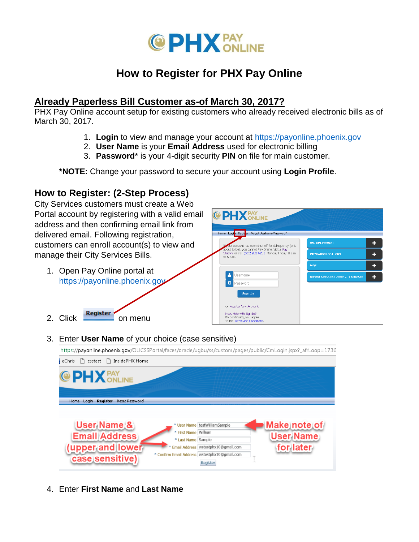

# **How to Register for PHX Pay Online**

# **Already Paperless Bill Customer as-of March 30, 2017?**

PHX Pay Online account setup for existing customers who already received electronic bills as of March 30, 2017.

- 1. **Login** to view and manage your account at [https://payonline.phoenix.gov](https://payonline.phoenix.gov/)
- 2. **User Name** is your **Email Address** used for electronic billing
- 3. **Password**\* is your 4-digit security **PIN** on file for main customer.

**\*NOTE:** Change your password to secure your account using **Login Profile**.

# **How to Register: (2-Step Process)**

City Services customers must create a Web Portal account by registering with a valid email address and then confirming email link from delivered email. Following registration, customers can enroll account(s) to view and manage their City Services Bills.

1. Open Pay Online portal a[t](https://payonline.phoenix.gov/) https://payonline.phoenix.go

2. Click Register on menu



3. Enter **User Name** of your choice (case sensitive)

https://payonline.phoenix.gov/OUCSSPortal/faces/oracle/ugbu/ss/custom/pages/public/CmLogin.jspx?\_afrLoop=1730 eChris [ csstest [ ] InsidePHX Home **PAY ONLINE** Home Login Register Reset Password User Name & Make note of User Name testWilliamSample \* First Name William **Email Address User Name** \* Last Name Sample (upper and lower for later Email Address wstestphx10@gmail.com \* Confirm Email Address | wstestphx10@gmail.com case sensitive) I Register

4. Enter **First Name** and **Last Name**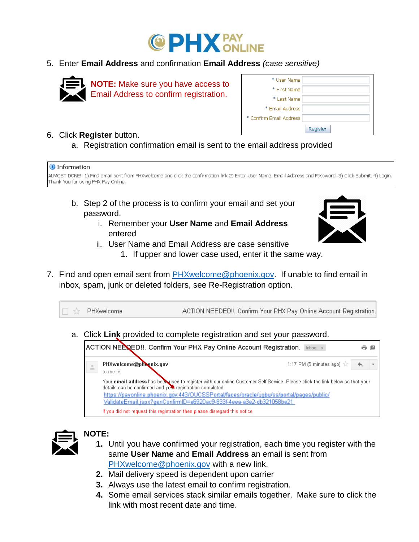

5. Enter **Email Address** and confirmation **Email Address** *(case sensitive)*



**NOTE:** Make sure you have access to Email Address to confirm registration.

| * User Name             |          |
|-------------------------|----------|
| * First Name            |          |
| * Last Name             |          |
| * Email Address         |          |
| * Confirm Email Address |          |
|                         | Register |

### 6. Click **Register** button.

a. Registration confirmation email is sent to the email address provided



- b. Step 2 of the process is to confirm your email and set your password.
	- i. Remember your **User Name** and **Email Address**  entered



- 1. If upper and lower case used, enter it the same way.
- 7. Find and open email sent from [PHXwelcome@phoenix.gov.](mailto:PHXwelcome@phoenix.gov) If unable to find email in inbox, spam, junk or deleted folders, see Re-Registration option.

PHXwelcome ACTION NEEDED !!. Confirm Your PHX Pay Online Account Registration. T.T

a. Click **Link** provided to complete registration and set your password.





# **NOTE:**

- **1.** Until you have confirmed your registration, each time you register with the same **User Name** and **Email Address** an email is sent from [PHXwelcome@phoenix.gov](mailto:PHXwelcome@phoenix.gov) with a new link.
- **2.** Mail delivery speed is dependent upon carrier
- **3.** Always use the latest email to confirm registration.
- **4.** Some email services stack similar emails together. Make sure to click the link with most recent date and time.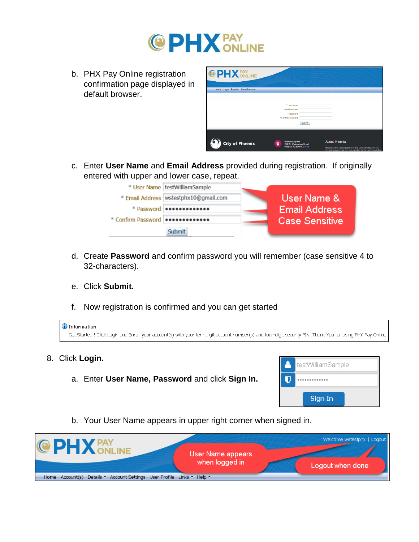

b. PHX Pay Online registration confirmation page displayed in default browser.

| <b>@PHX</b> PAY                    |                                                                               |                                                                                                                                                                                      |
|------------------------------------|-------------------------------------------------------------------------------|--------------------------------------------------------------------------------------------------------------------------------------------------------------------------------------|
| Home Login Register Reset Password |                                                                               |                                                                                                                                                                                      |
|                                    |                                                                               |                                                                                                                                                                                      |
|                                    | * User Name                                                                   |                                                                                                                                                                                      |
|                                    | <sup>*</sup> Email Address                                                    |                                                                                                                                                                                      |
|                                    | * Password                                                                    |                                                                                                                                                                                      |
|                                    | * Confirm Password                                                            |                                                                                                                                                                                      |
|                                    | Submit                                                                        |                                                                                                                                                                                      |
|                                    |                                                                               |                                                                                                                                                                                      |
|                                    |                                                                               |                                                                                                                                                                                      |
| <b>City of Phoenix</b>             | Phoenix City Hall<br>o<br>200 W. Washington Street<br>Phoenix, AZ 85003   Map | <b>About Phoenix</b><br>Phoenix is the 6th largest city in the United States. We're a<br>changed to account on the constitution and continued and the constitutional constitution of |

Sign In

c. Enter **User Name** and **Email Address** provided during registration. If originally entered with upper and lower case, repeat.



- d. Create **Password** and confirm password you will remember (case sensitive 4 to 32-characters).
- e. Click **Submit.**
- f. Now registration is confirmed and you can get started

| U Information<br>Get Started!! Click Login and Enroll your account(s) with your ten-digit account number(s) and four-digit security PIN. Thank You for using PHX Pay Online. |                   |
|------------------------------------------------------------------------------------------------------------------------------------------------------------------------------|-------------------|
| 8. Click Login.                                                                                                                                                              | testWilliamSample |
| a. Enter User Name, Password and click Sign In.                                                                                                                              |                   |

b. Your User Name appears in upper right corner when signed in.

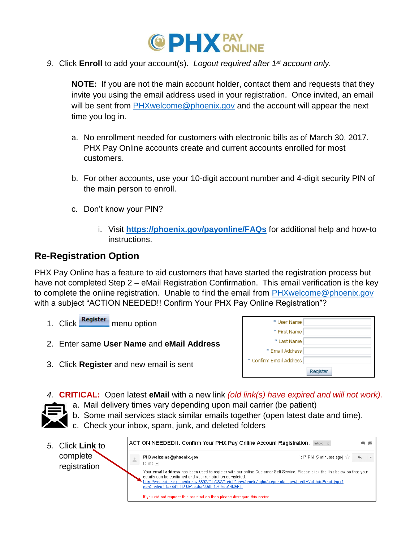

*9.* Click **Enroll** to add your account(s). *Logout required after 1 st account only.*

**NOTE:** If you are not the main account holder, contact them and requests that they invite you using the email address used in your registration. Once invited, an email will be sent from [PHXwelcome@phoenix.gov](mailto:PHXwelcome@phoenix.gov) and the account will appear the next time you log in.

- a. No enrollment needed for customers with electronic bills as of March 30, 2017. PHX Pay Online accounts create and current accounts enrolled for most customers.
- b. For other accounts, use your 10-digit account number and 4-digit security PIN of the main person to enroll.
- c. Don't know your PIN?
	- i. Visit **<https://phoenix.gov/payonline/FAQs>** for additional help and how-to instructions.

# **Re-Registration Option**

PHX Pay Online has a feature to aid customers that have started the registration process but have not completed Step 2 – eMail Registration Confirmation. This email verification is the key to complete the online registration. Unable to find the email from [PHXwelcome@phoenix.gov](mailto:PHXwelcome@phoenix.gov) with a subject "ACTION NEEDED!! Confirm Your PHX Pay Online Registration"?

- 1. Click Register menu option
- 2. Enter same **User Name** and **eMail Address**

| * User Name             |          |
|-------------------------|----------|
| * First Name            |          |
| * Last Name             |          |
| * Email Address         |          |
| * Confirm Email Address |          |
|                         | Register |

3. Click **Register** and new email is sent

*4.* **CRITICAL:** Open latest **eMail** with a new link *(old link(s) have expired and will not work).* 

- a. Mail delivery times vary depending upon mail carrier (be patient)
- b. Some mail services stack similar emails together (open latest date and time).
	- c. Check your inbox, spam, junk, and deleted folders
- ACTION NEEDED!!. Confirm Your PHX Pay Online Account Registration. Inbox x 6 P *5.* Click **Link** to complete PHXwelcome@phoenix.gov 1:17 PM (5 minutes ago) to me F registrationYour email address has been used to register with our online Customer Self Service. Please click the link below so that your details can be confirmed and your registration completed: http://csstest.one.phoenix.gov:8892/OUCSSPortal/faces/oracle/ugbu/ss/portal/pages/public/ValidateEmail.jspx? genConfirmID=7441b029-f52e-4ac2-b0c1-609ae16f4567 If you did not request this registration then please disregard this notice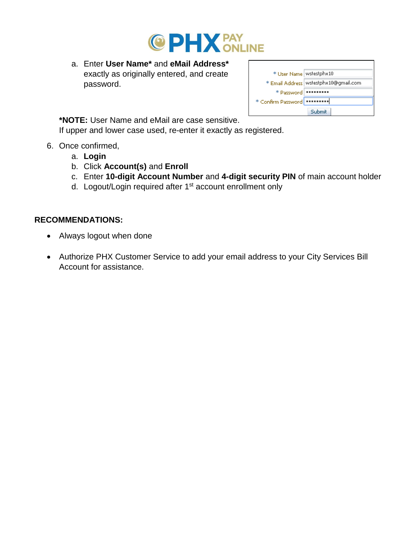

a. Enter **User Name\*** and **eMail Address\*** exactly as originally entered, and create password.

| * User Name   wstestphx10     |                                         |
|-------------------------------|-----------------------------------------|
|                               | * Email Address   wstestphx10@gmail.com |
| * Password   ****             |                                         |
| * Confirm Password   ******** |                                         |
|                               | Submit                                  |

**\*NOTE:** User Name and eMail are case sensitive. If upper and lower case used, re-enter it exactly as registered.

- 6. Once confirmed,
	- a. **Login**
	- b. Click **Account(s)** and **Enroll**
	- c. Enter **10-digit Account Number** and **4-digit security PIN** of main account holder
	- d. Logout/Login required after 1st account enrollment only

### **RECOMMENDATIONS:**

- Always logout when done
- Authorize PHX Customer Service to add your email address to your City Services Bill Account for assistance.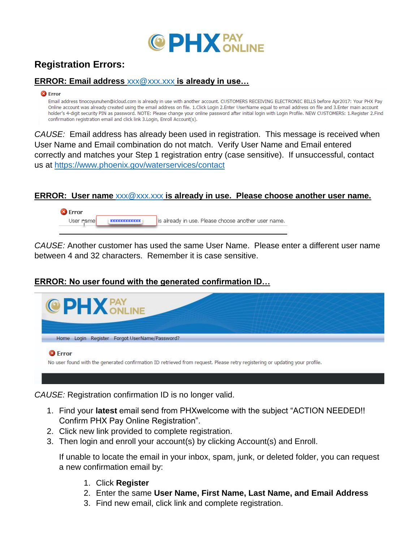

# **Registration Errors:**

## **ERROR: Email address** [xxx@xxx.xxx](mailto:xxx@xxx.xxx) **is already in use…**

#### <sup>8</sup> Error

Email address tinocoyunuhen@icloud.com is already in use with another account. CUSTOMERS RECEIVING ELECTRONIC BILLS before Apr2017: Your PHX Pay Online account was already created using the email address on file. 1.Click Login 2.Enter UserName equal to email address on file and 3.Enter main account holder's 4-digit security PIN as password. NOTE: Please change your online password after initial login with Login Profile. NEW CUSTOMERS: 1.Register 2.Find confirmation registration email and click link 3. Login, Enroll Account(s).

*CAUSE:* Email address has already been used in registration. This message is received when User Name and Email combination do not match. Verify User Name and Email entered correctly and matches your Step 1 registration entry (case sensitive). If unsuccessful, contact us at<https://www.phoenix.gov/waterservices/contact>

#### **ERROR: User name** [xxx@xxx.xxx](mailto:xxx@xxx.xxx) **is already in use. Please choose another user name.**



*CAUSE:* Another customer has used the same User Name. Please enter a different user name between 4 and 32 characters. Remember it is case sensitive.

#### **ERROR: No user found with the generated confirmation ID…**



<sup>3</sup>Error

No user found with the generated confirmation ID retrieved from request. Please retry registering or updating your profile.

*CAUSE:* Registration confirmation ID is no longer valid.

- 1. Find your **latest** email send from PHXwelcome with the subject "ACTION NEEDED!! Confirm PHX Pay Online Registration".
- 2. Click new link provided to complete registration.
- 3. Then login and enroll your account(s) by clicking Account(s) and Enroll.

If unable to locate the email in your inbox, spam, junk, or deleted folder, you can request a new confirmation email by:

- 1. Click **Register**
- 2. Enter the same **User Name, First Name, Last Name, and Email Address**
- 3. Find new email, click link and complete registration.